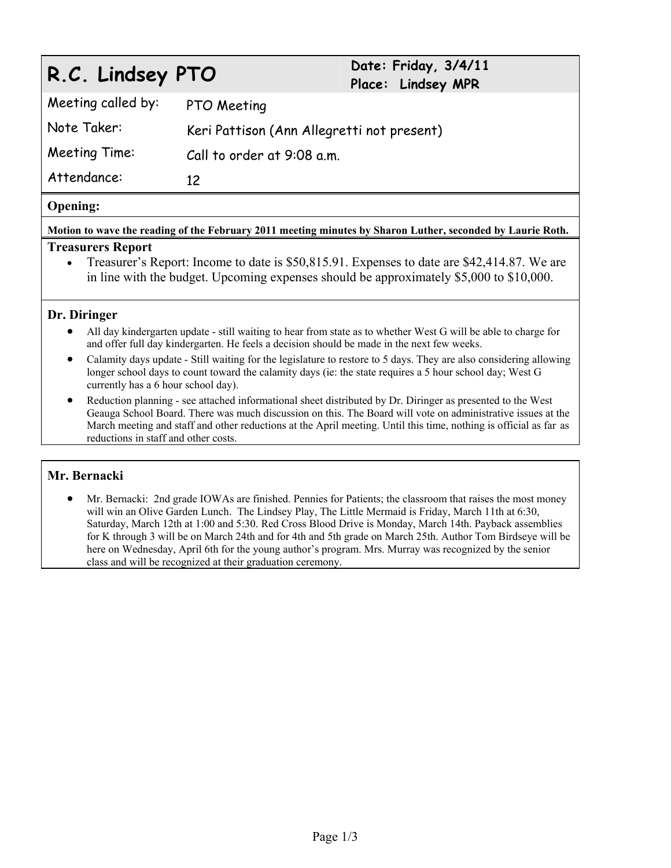# **R.C. Lindsey PTO Date: Friday, 3/4/11 Place: Lindsey MPR**  Meeting called by: PTO Meeting Note Taker: Keri Pattison (Ann Allegretti not present) Meeting Time: Call to order at 9:08 a.m. Attendance: 12

#### **Opening:**

**Motion to wave the reading of the February 2011 meeting minutes by Sharon Luther, seconded by Laurie Roth.** 

#### **Treasurers Report**

 Treasurer's Report: Income to date is \$50,815.91. Expenses to date are \$42,414.87. We are in line with the budget. Upcoming expenses should be approximately \$5,000 to \$10,000.

#### **Dr. Diringer**

- All day kindergarten update still waiting to hear from state as to whether West G will be able to charge for and offer full day kindergarten. He feels a decision should be made in the next few weeks.
- Calamity days update Still waiting for the legislature to restore to 5 days. They are also considering allowing longer school days to count toward the calamity days (ie: the state requires a 5 hour school day; West G currently has a 6 hour school day).
- Reduction planning see attached informational sheet distributed by Dr. Diringer as presented to the West Geauga School Board. There was much discussion on this. The Board will vote on administrative issues at the March meeting and staff and other reductions at the April meeting. Until this time, nothing is official as far as reductions in staff and other costs.

#### **Mr. Bernacki**

 Mr. Bernacki: 2nd grade IOWAs are finished. Pennies for Patients; the classroom that raises the most money will win an Olive Garden Lunch. The Lindsey Play, The Little Mermaid is Friday, March 11th at 6:30, Saturday, March 12th at 1:00 and 5:30. Red Cross Blood Drive is Monday, March 14th. Payback assemblies for K through 3 will be on March 24th and for 4th and 5th grade on March 25th. Author Tom Birdseye will be here on Wednesday, April 6th for the young author's program. Mrs. Murray was recognized by the senior class and will be recognized at their graduation ceremony.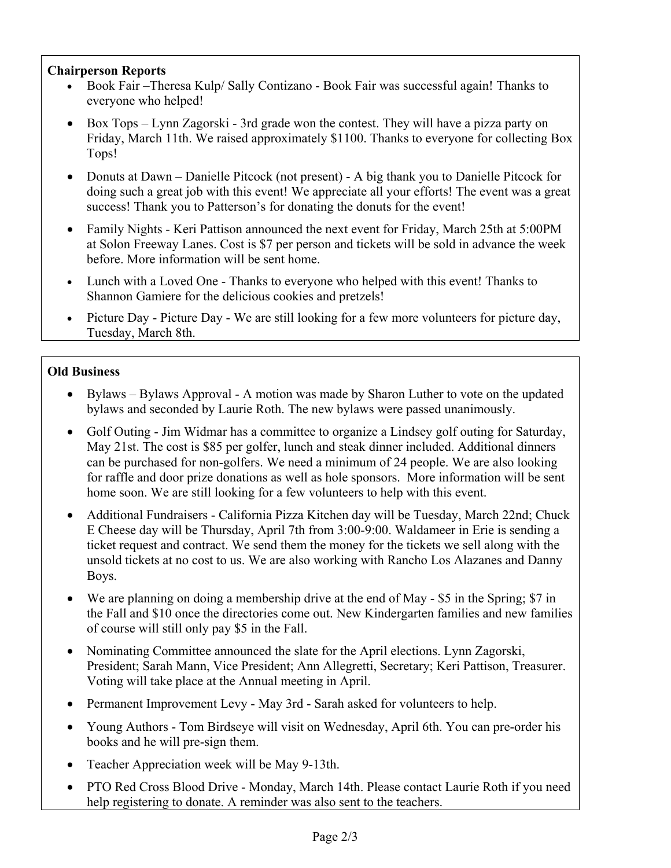## **Chairperson Reports**

- Book Fair –Theresa Kulp/ Sally Contizano Book Fair was successful again! Thanks to everyone who helped!
- Box Tops Lynn Zagorski 3rd grade won the contest. They will have a pizza party on Friday, March 11th. We raised approximately \$1100. Thanks to everyone for collecting Box Tops!
- Donuts at Dawn Danielle Pitcock (not present) A big thank you to Danielle Pitcock for doing such a great job with this event! We appreciate all your efforts! The event was a great success! Thank you to Patterson's for donating the donuts for the event!
- Family Nights Keri Pattison announced the next event for Friday, March 25th at 5:00PM at Solon Freeway Lanes. Cost is \$7 per person and tickets will be sold in advance the week before. More information will be sent home.
- Lunch with a Loved One Thanks to everyone who helped with this event! Thanks to Shannon Gamiere for the delicious cookies and pretzels!
- Picture Day Picture Day We are still looking for a few more volunteers for picture day, Tuesday, March 8th.

# **Old Business**

- Bylaws Bylaws Approval A motion was made by Sharon Luther to vote on the updated bylaws and seconded by Laurie Roth. The new bylaws were passed unanimously.
- Golf Outing Jim Widmar has a committee to organize a Lindsey golf outing for Saturday, May 21st. The cost is \$85 per golfer, lunch and steak dinner included. Additional dinners can be purchased for non-golfers. We need a minimum of 24 people. We are also looking for raffle and door prize donations as well as hole sponsors. More information will be sent home soon. We are still looking for a few volunteers to help with this event.
- Additional Fundraisers California Pizza Kitchen day will be Tuesday, March 22nd; Chuck E Cheese day will be Thursday, April 7th from 3:00-9:00. Waldameer in Erie is sending a ticket request and contract. We send them the money for the tickets we sell along with the unsold tickets at no cost to us. We are also working with Rancho Los Alazanes and Danny Boys.
- We are planning on doing a membership drive at the end of May \$5 in the Spring; \$7 in the Fall and \$10 once the directories come out. New Kindergarten families and new families of course will still only pay \$5 in the Fall.
- Nominating Committee announced the slate for the April elections. Lynn Zagorski, President; Sarah Mann, Vice President; Ann Allegretti, Secretary; Keri Pattison, Treasurer. Voting will take place at the Annual meeting in April.
- Permanent Improvement Levy May 3rd Sarah asked for volunteers to help.
- Young Authors Tom Birdseye will visit on Wednesday, April 6th. You can pre-order his books and he will pre-sign them.
- Teacher Appreciation week will be May 9-13th.
- PTO Red Cross Blood Drive Monday, March 14th. Please contact Laurie Roth if you need help registering to donate. A reminder was also sent to the teachers.